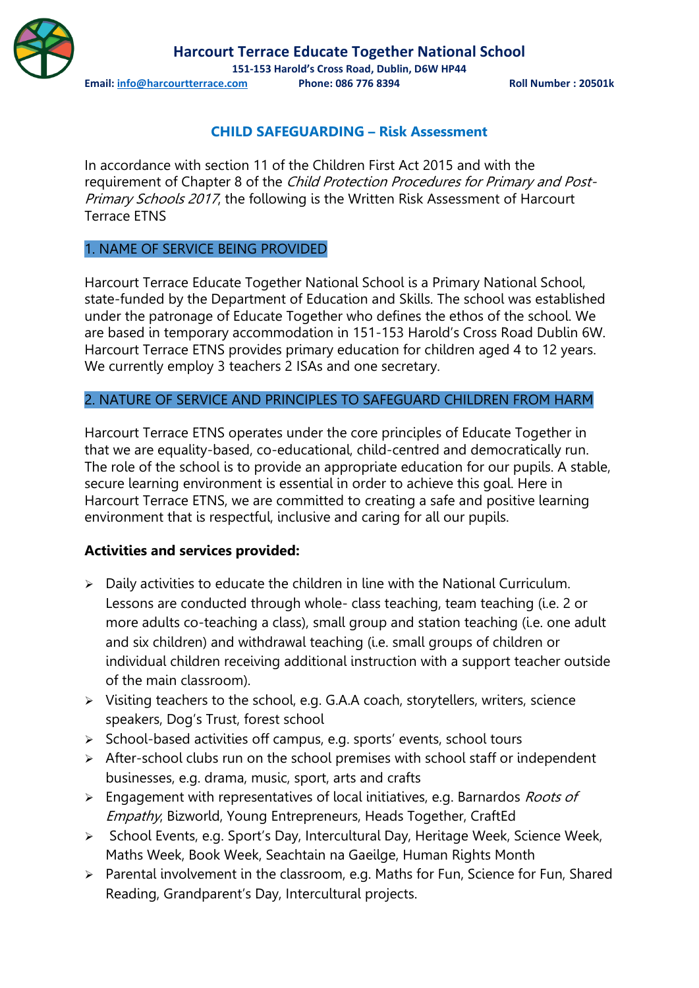

**Harcourt Terrace Educate Together National School**

**151-153 Harold's Cross Road, Dublin, D6W HP44**

**Email: info@harcourtterrace.com Phone: 086 776 8394 Roll Number : 20501k**

# **CHILD SAFEGUARDING – Risk Assessment**

In accordance with section 11 of the Children First Act 2015 and with the requirement of Chapter 8 of the Child Protection Procedures for Primary and Post-Primary Schools 2017, the following is the Written Risk Assessment of Harcourt Terrace ETNS

### 1. NAME OF SERVICE BEING PROVIDED

Harcourt Terrace Educate Together National School is a Primary National School, state-funded by the Department of Education and Skills. The school was established under the patronage of Educate Together who defines the ethos of the school. We are based in temporary accommodation in 151-153 Harold's Cross Road Dublin 6W. Harcourt Terrace ETNS provides primary education for children aged 4 to 12 years. We currently employ 3 teachers 2 ISAs and one secretary.

# 2. NATURE OF SERVICE AND PRINCIPLES TO SAFEGUARD CHILDREN FROM HARM

Harcourt Terrace ETNS operates under the core principles of Educate Together in that we are equality-based, co-educational, child-centred and democratically run. The role of the school is to provide an appropriate education for our pupils. A stable, secure learning environment is essential in order to achieve this goal. Here in Harcourt Terrace ETNS, we are committed to creating a safe and positive learning environment that is respectful, inclusive and caring for all our pupils.

### **Activities and services provided:**

- Daily activities to educate the children in line with the National Curriculum. Lessons are conducted through whole- class teaching, team teaching (i.e. 2 or more adults co-teaching a class), small group and station teaching (i.e. one adult and six children) and withdrawal teaching (i.e. small groups of children or individual children receiving additional instruction with a support teacher outside of the main classroom).
- $\triangleright$  Visiting teachers to the school, e.g. G.A.A coach, storytellers, writers, science speakers, Dog's Trust, forest school
- $\triangleright$  School-based activities off campus, e.g. sports' events, school tours
- $\triangleright$  After-school clubs run on the school premises with school staff or independent businesses, e.g. drama, music, sport, arts and crafts
- $\triangleright$  Engagement with representatives of local initiatives, e.g. Barnardos *Roots of* Empathy, Bizworld, Young Entrepreneurs, Heads Together, CraftEd
- > School Events, e.g. Sport's Day, Intercultural Day, Heritage Week, Science Week, Maths Week, Book Week, Seachtain na Gaeilge, Human Rights Month
- > Parental involvement in the classroom, e.g. Maths for Fun, Science for Fun, Shared Reading, Grandparent's Day, Intercultural projects.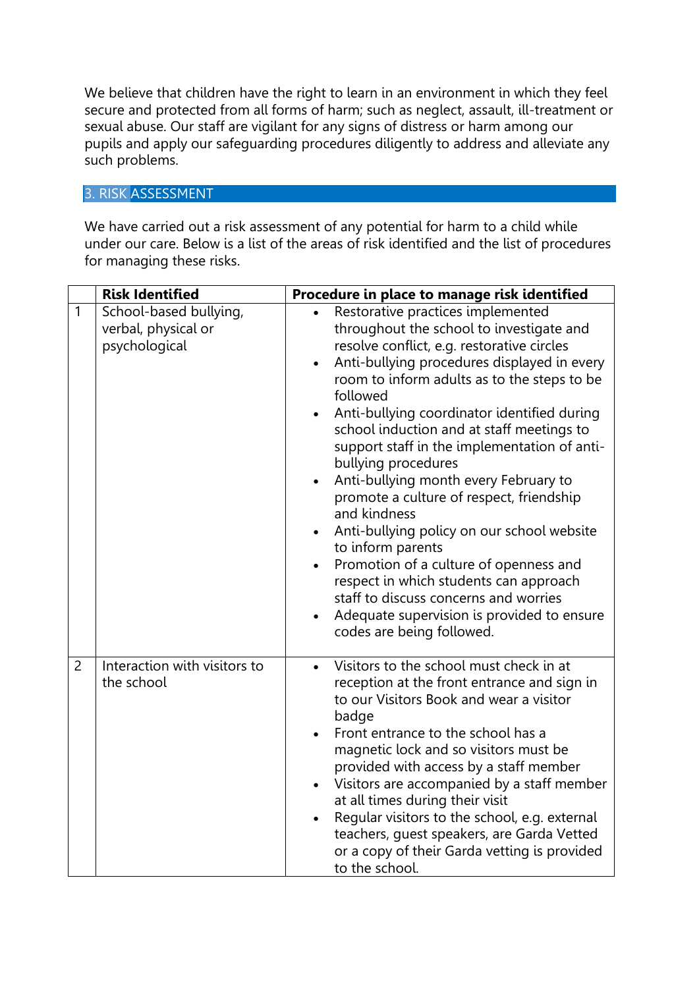We believe that children have the right to learn in an environment in which they feel secure and protected from all forms of harm; such as neglect, assault, ill-treatment or sexual abuse. Our staff are vigilant for any signs of distress or harm among our pupils and apply our safeguarding procedures diligently to address and alleviate any such problems.

# 3. RISK ASSESSMENT

We have carried out a risk assessment of any potential for harm to a child while under our care. Below is a list of the areas of risk identified and the list of procedures for managing these risks.

|                | <b>Risk Identified</b>                                         | Procedure in place to manage risk identified                                                                                                                                                                                                                                                                                                                                                                                                                                                                                                                                                                                                                                                                                                                                                                       |
|----------------|----------------------------------------------------------------|--------------------------------------------------------------------------------------------------------------------------------------------------------------------------------------------------------------------------------------------------------------------------------------------------------------------------------------------------------------------------------------------------------------------------------------------------------------------------------------------------------------------------------------------------------------------------------------------------------------------------------------------------------------------------------------------------------------------------------------------------------------------------------------------------------------------|
| $\mathbf{1}$   | School-based bullying,<br>verbal, physical or<br>psychological | Restorative practices implemented<br>throughout the school to investigate and<br>resolve conflict, e.g. restorative circles<br>Anti-bullying procedures displayed in every<br>$\bullet$<br>room to inform adults as to the steps to be<br>followed<br>Anti-bullying coordinator identified during<br>school induction and at staff meetings to<br>support staff in the implementation of anti-<br>bullying procedures<br>Anti-bullying month every February to<br>promote a culture of respect, friendship<br>and kindness<br>Anti-bullying policy on our school website<br>to inform parents<br>Promotion of a culture of openness and<br>$\bullet$<br>respect in which students can approach<br>staff to discuss concerns and worries<br>Adequate supervision is provided to ensure<br>codes are being followed. |
| $\overline{2}$ | Interaction with visitors to<br>the school                     | Visitors to the school must check in at<br>reception at the front entrance and sign in<br>to our Visitors Book and wear a visitor<br>badge<br>Front entrance to the school has a<br>magnetic lock and so visitors must be<br>provided with access by a staff member<br>Visitors are accompanied by a staff member<br>$\bullet$<br>at all times during their visit<br>Regular visitors to the school, e.g. external<br>teachers, guest speakers, are Garda Vetted<br>or a copy of their Garda vetting is provided<br>to the school.                                                                                                                                                                                                                                                                                 |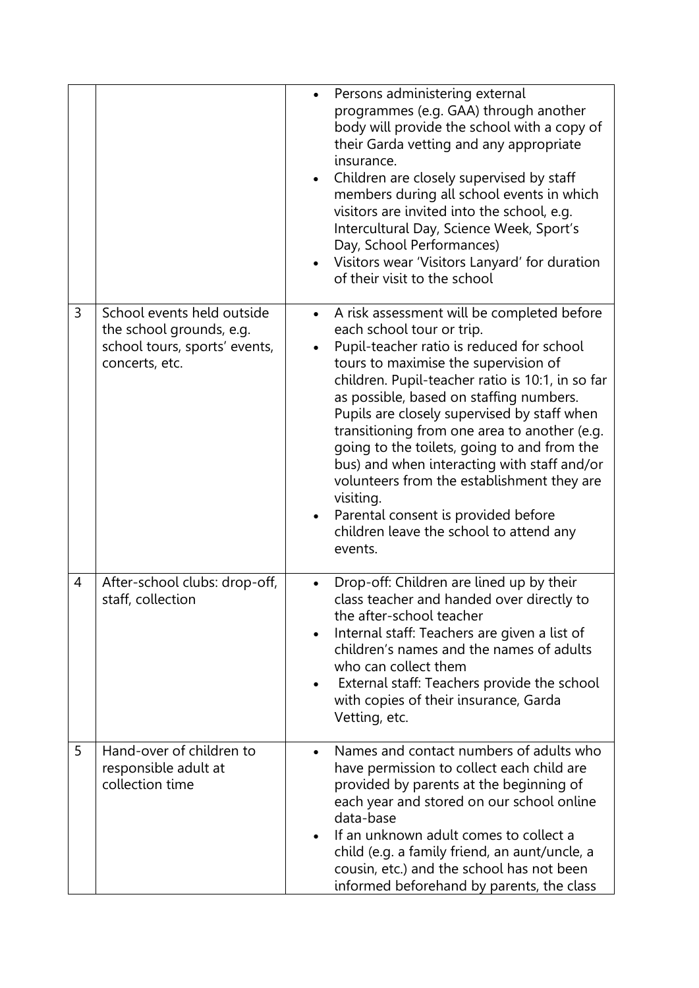|   |                                                                                                           | Persons administering external<br>programmes (e.g. GAA) through another<br>body will provide the school with a copy of<br>their Garda vetting and any appropriate<br>insurance.<br>Children are closely supervised by staff<br>members during all school events in which<br>visitors are invited into the school, e.g.<br>Intercultural Day, Science Week, Sport's<br>Day, School Performances)<br>Visitors wear 'Visitors Lanyard' for duration<br>of their visit to the school                                                                                                                                              |
|---|-----------------------------------------------------------------------------------------------------------|-------------------------------------------------------------------------------------------------------------------------------------------------------------------------------------------------------------------------------------------------------------------------------------------------------------------------------------------------------------------------------------------------------------------------------------------------------------------------------------------------------------------------------------------------------------------------------------------------------------------------------|
| 3 | School events held outside<br>the school grounds, e.g.<br>school tours, sports' events,<br>concerts, etc. | A risk assessment will be completed before<br>$\bullet$<br>each school tour or trip.<br>Pupil-teacher ratio is reduced for school<br>tours to maximise the supervision of<br>children. Pupil-teacher ratio is 10:1, in so far<br>as possible, based on staffing numbers.<br>Pupils are closely supervised by staff when<br>transitioning from one area to another (e.g.<br>going to the toilets, going to and from the<br>bus) and when interacting with staff and/or<br>volunteers from the establishment they are<br>visiting.<br>Parental consent is provided before<br>children leave the school to attend any<br>events. |
| 4 | After-school clubs: drop-off,<br>staff, collection                                                        | Drop-off: Children are lined up by their<br>class teacher and handed over directly to<br>the after-school teacher<br>Internal staff: Teachers are given a list of<br>children's names and the names of adults<br>who can collect them<br>External staff: Teachers provide the school<br>with copies of their insurance, Garda<br>Vetting, etc.                                                                                                                                                                                                                                                                                |
| 5 | Hand-over of children to<br>responsible adult at<br>collection time                                       | Names and contact numbers of adults who<br>have permission to collect each child are<br>provided by parents at the beginning of<br>each year and stored on our school online<br>data-base<br>If an unknown adult comes to collect a<br>child (e.g. a family friend, an aunt/uncle, a<br>cousin, etc.) and the school has not been<br>informed beforehand by parents, the class                                                                                                                                                                                                                                                |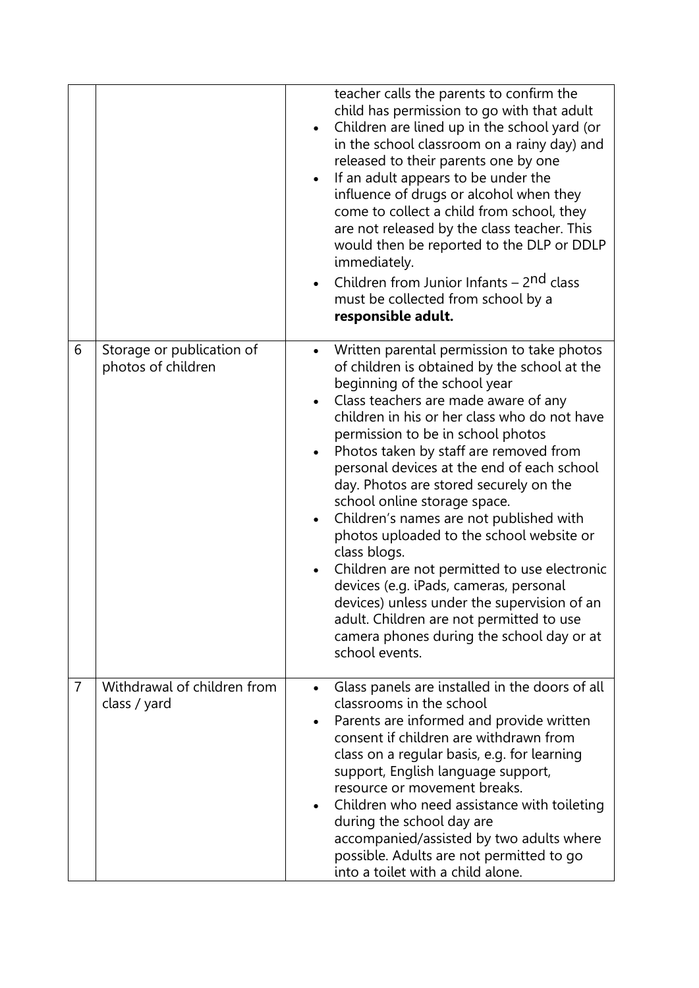|                |                                                 | teacher calls the parents to confirm the<br>child has permission to go with that adult<br>Children are lined up in the school yard (or<br>$\bullet$<br>in the school classroom on a rainy day) and<br>released to their parents one by one<br>If an adult appears to be under the<br>influence of drugs or alcohol when they<br>come to collect a child from school, they<br>are not released by the class teacher. This<br>would then be reported to the DLP or DDLP<br>immediately.<br>Children from Junior Infants - 2 <sup>nd</sup> class<br>$\bullet$<br>must be collected from school by a<br>responsible adult.                                                                                                                                                               |
|----------------|-------------------------------------------------|--------------------------------------------------------------------------------------------------------------------------------------------------------------------------------------------------------------------------------------------------------------------------------------------------------------------------------------------------------------------------------------------------------------------------------------------------------------------------------------------------------------------------------------------------------------------------------------------------------------------------------------------------------------------------------------------------------------------------------------------------------------------------------------|
| 6              | Storage or publication of<br>photos of children | Written parental permission to take photos<br>of children is obtained by the school at the<br>beginning of the school year<br>Class teachers are made aware of any<br>children in his or her class who do not have<br>permission to be in school photos<br>Photos taken by staff are removed from<br>personal devices at the end of each school<br>day. Photos are stored securely on the<br>school online storage space.<br>Children's names are not published with<br>photos uploaded to the school website or<br>class blogs.<br>Children are not permitted to use electronic<br>devices (e.g. iPads, cameras, personal<br>devices) unless under the supervision of an<br>adult. Children are not permitted to use<br>camera phones during the school day or at<br>school events. |
| $\overline{7}$ | Withdrawal of children from<br>class / yard     | Glass panels are installed in the doors of all<br>$\bullet$<br>classrooms in the school<br>Parents are informed and provide written<br>consent if children are withdrawn from<br>class on a regular basis, e.g. for learning<br>support, English language support,<br>resource or movement breaks.<br>Children who need assistance with toileting<br>during the school day are<br>accompanied/assisted by two adults where<br>possible. Adults are not permitted to go<br>into a toilet with a child alone.                                                                                                                                                                                                                                                                          |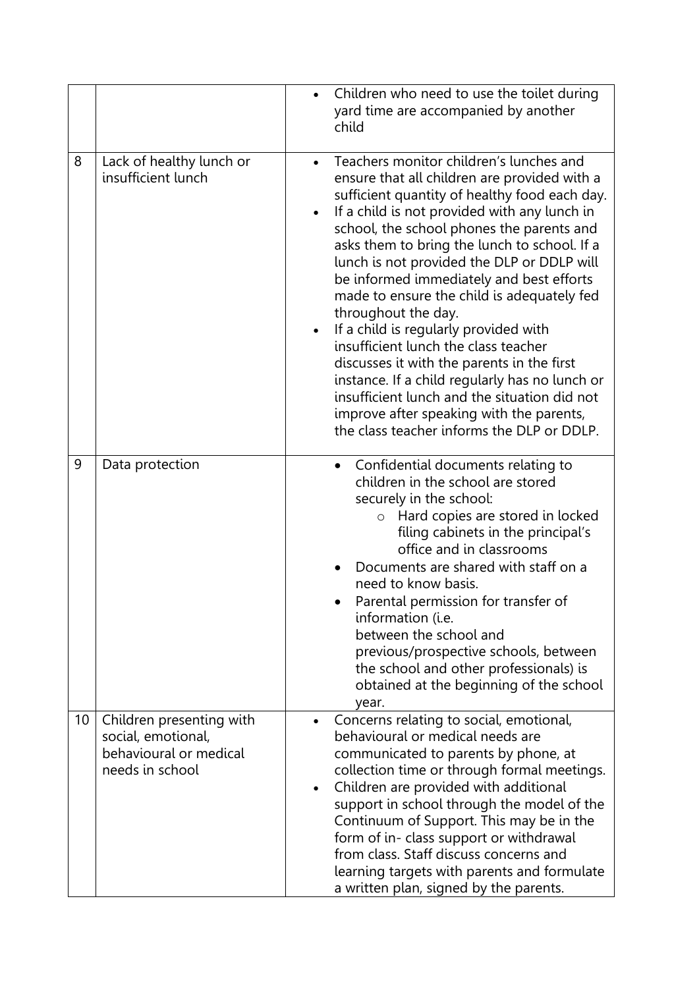|    |                                                                                             | Children who need to use the toilet during<br>yard time are accompanied by another<br>child                                                                                                                                                                                                                                                                                                                                                                                                                                                                                                                                                                                                                                                                                     |
|----|---------------------------------------------------------------------------------------------|---------------------------------------------------------------------------------------------------------------------------------------------------------------------------------------------------------------------------------------------------------------------------------------------------------------------------------------------------------------------------------------------------------------------------------------------------------------------------------------------------------------------------------------------------------------------------------------------------------------------------------------------------------------------------------------------------------------------------------------------------------------------------------|
| 8  | Lack of healthy lunch or<br>insufficient lunch                                              | Teachers monitor children's lunches and<br>ensure that all children are provided with a<br>sufficient quantity of healthy food each day.<br>If a child is not provided with any lunch in<br>school, the school phones the parents and<br>asks them to bring the lunch to school. If a<br>lunch is not provided the DLP or DDLP will<br>be informed immediately and best efforts<br>made to ensure the child is adequately fed<br>throughout the day.<br>If a child is regularly provided with<br>insufficient lunch the class teacher<br>discusses it with the parents in the first<br>instance. If a child regularly has no lunch or<br>insufficient lunch and the situation did not<br>improve after speaking with the parents,<br>the class teacher informs the DLP or DDLP. |
| 9  | Data protection                                                                             | Confidential documents relating to<br>$\bullet$<br>children in the school are stored<br>securely in the school:<br>o Hard copies are stored in locked<br>filing cabinets in the principal's<br>office and in classrooms<br>Documents are shared with staff on a<br>need to know basis.<br>Parental permission for transfer of<br>information (i.e.<br>between the school and<br>previous/prospective schools, between<br>the school and other professionals) is<br>obtained at the beginning of the school<br>year.                                                                                                                                                                                                                                                             |
| 10 | Children presenting with<br>social, emotional,<br>behavioural or medical<br>needs in school | Concerns relating to social, emotional,<br>$\bullet$<br>behavioural or medical needs are<br>communicated to parents by phone, at<br>collection time or through formal meetings.<br>Children are provided with additional<br>$\bullet$<br>support in school through the model of the<br>Continuum of Support. This may be in the<br>form of in- class support or withdrawal<br>from class. Staff discuss concerns and<br>learning targets with parents and formulate<br>a written plan, signed by the parents.                                                                                                                                                                                                                                                                   |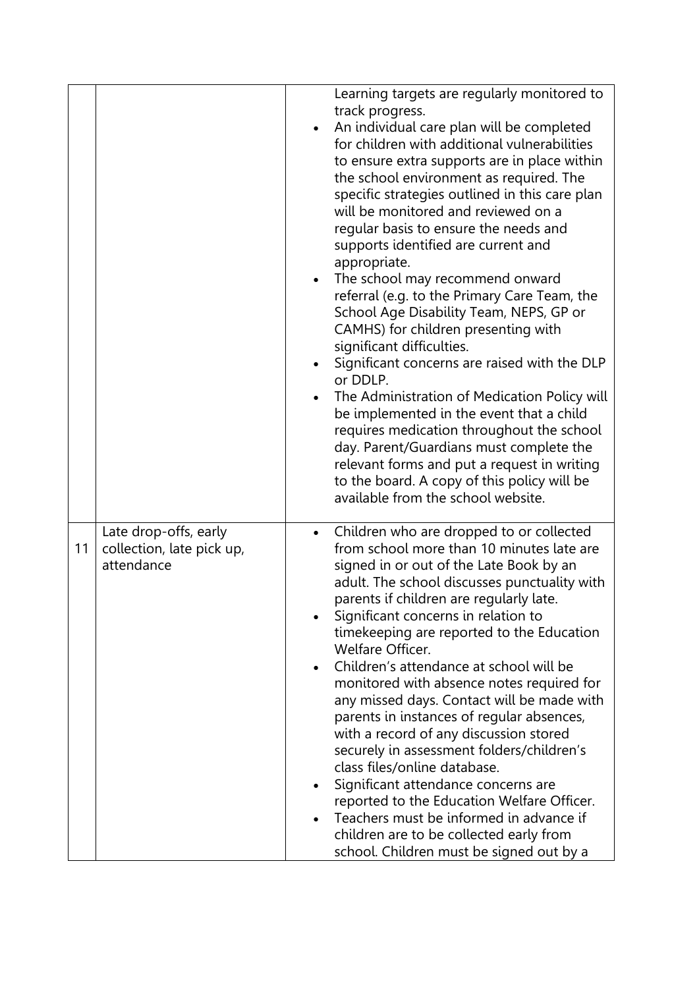| supports identified are current and<br>appropriate.<br>The school may recommend onward<br>referral (e.g. to the Primary Care Team, the<br>School Age Disability Team, NEPS, GP or<br>CAMHS) for children presenting with<br>significant difficulties.<br>Significant concerns are raised with the DLP<br>or DDLP.<br>The Administration of Medication Policy will<br>be implemented in the event that a child<br>requires medication throughout the school<br>day. Parent/Guardians must complete the<br>relevant forms and put a request in writing |
|------------------------------------------------------------------------------------------------------------------------------------------------------------------------------------------------------------------------------------------------------------------------------------------------------------------------------------------------------------------------------------------------------------------------------------------------------------------------------------------------------------------------------------------------------|
|                                                                                                                                                                                                                                                                                                                                                                                                                                                                                                                                                      |
|                                                                                                                                                                                                                                                                                                                                                                                                                                                                                                                                                      |
| to the board. A copy of this policy will be<br>available from the school website.                                                                                                                                                                                                                                                                                                                                                                                                                                                                    |
| Late drop-offs, early<br>Children who are dropped to or collected<br>11<br>from school more than 10 minutes late are<br>collection, late pick up,                                                                                                                                                                                                                                                                                                                                                                                                    |
| attendance<br>signed in or out of the Late Book by an<br>adult. The school discusses punctuality with                                                                                                                                                                                                                                                                                                                                                                                                                                                |
| parents if children are regularly late.<br>Significant concerns in relation to                                                                                                                                                                                                                                                                                                                                                                                                                                                                       |
| timekeeping are reported to the Education<br>Welfare Officer.                                                                                                                                                                                                                                                                                                                                                                                                                                                                                        |
| Children's attendance at school will be<br>monitored with absence notes required for<br>any missed days. Contact will be made with<br>parents in instances of regular absences,<br>with a record of any discussion stored<br>securely in assessment folders/children's<br>class files/online database.                                                                                                                                                                                                                                               |
| Significant attendance concerns are<br>reported to the Education Welfare Officer.                                                                                                                                                                                                                                                                                                                                                                                                                                                                    |
| Teachers must be informed in advance if<br>children are to be collected early from<br>school. Children must be signed out by a                                                                                                                                                                                                                                                                                                                                                                                                                       |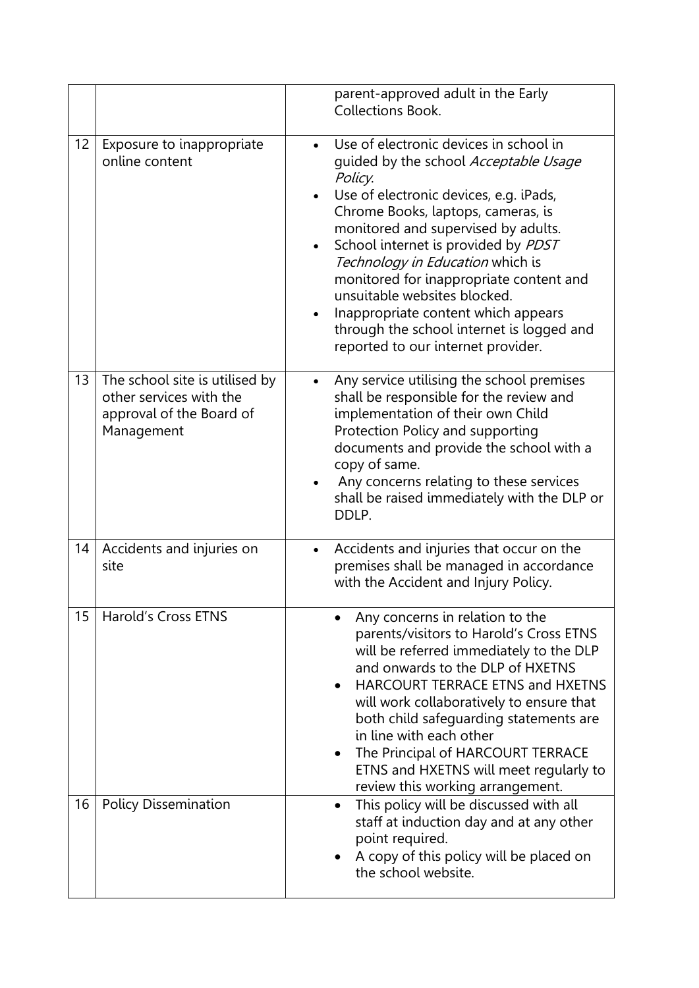|                   |                                                                                                     | parent-approved adult in the Early<br><b>Collections Book.</b>                                                                                                                                                                                                                                                                                                                                                                                                                                    |
|-------------------|-----------------------------------------------------------------------------------------------------|---------------------------------------------------------------------------------------------------------------------------------------------------------------------------------------------------------------------------------------------------------------------------------------------------------------------------------------------------------------------------------------------------------------------------------------------------------------------------------------------------|
| $12 \overline{ }$ | Exposure to inappropriate<br>online content                                                         | Use of electronic devices in school in<br>quided by the school Acceptable Usage<br>Policy.<br>Use of electronic devices, e.g. iPads,<br>Chrome Books, laptops, cameras, is<br>monitored and supervised by adults.<br>School internet is provided by PDST<br>Technology in Education which is<br>monitored for inappropriate content and<br>unsuitable websites blocked.<br>Inappropriate content which appears<br>through the school internet is logged and<br>reported to our internet provider. |
| 13                | The school site is utilised by<br>other services with the<br>approval of the Board of<br>Management | Any service utilising the school premises<br>shall be responsible for the review and<br>implementation of their own Child<br>Protection Policy and supporting<br>documents and provide the school with a<br>copy of same.<br>Any concerns relating to these services<br>shall be raised immediately with the DLP or<br>DDLP.                                                                                                                                                                      |
| 14                | Accidents and injuries on<br>site                                                                   | Accidents and injuries that occur on the<br>$\bullet$<br>premises shall be managed in accordance<br>with the Accident and Injury Policy.                                                                                                                                                                                                                                                                                                                                                          |
| 15                | <b>Harold's Cross ETNS</b>                                                                          | Any concerns in relation to the<br>parents/visitors to Harold's Cross ETNS<br>will be referred immediately to the DLP<br>and onwards to the DLP of HXETNS<br><b>HARCOURT TERRACE ETNS and HXETNS</b><br>will work collaboratively to ensure that<br>both child safeguarding statements are<br>in line with each other<br>The Principal of HARCOURT TERRACE<br>$\bullet$<br>ETNS and HXETNS will meet regularly to<br>review this working arrangement.                                             |
| 16                | <b>Policy Dissemination</b>                                                                         | This policy will be discussed with all<br>$\bullet$<br>staff at induction day and at any other<br>point required.<br>A copy of this policy will be placed on<br>the school website.                                                                                                                                                                                                                                                                                                               |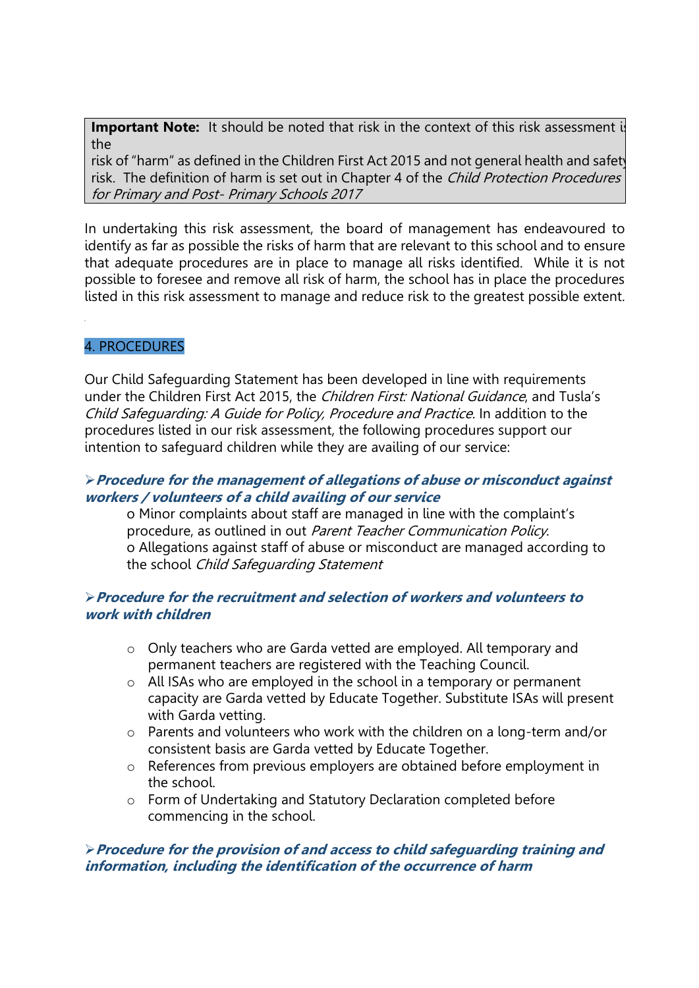**Important Note:** It should be noted that risk in the context of this risk assessment is the

risk of "harm" as defined in the Children First Act 2015 and not general health and safety risk. The definition of harm is set out in Chapter 4 of the Child Protection Procedures for Primary and Post- Primary Schools 2017

In undertaking this risk assessment, the board of management has endeavoured to identify as far as possible the risks of harm that are relevant to this school and to ensure that adequate procedures are in place to manage all risks identified. While it is not possible to foresee and remove all risk of harm, the school has in place the procedures listed in this risk assessment to manage and reduce risk to the greatest possible extent.

# 4. PROCEDURES

Our Child Safeguarding Statement has been developed in line with requirements under the Children First Act 2015, the *Children First: National Guidance*, and Tusla's Child Safeguarding: A Guide for Policy, Procedure and Practice. In addition to the procedures listed in our risk assessment, the following procedures support our intention to safeguard children while they are availing of our service:

### **Procedure for the management of allegations of abuse or misconduct against workers / volunteers of a child availing of our service**

o Minor complaints about staff are managed in line with the complaint's procedure, as outlined in out Parent Teacher Communication Policy. o Allegations against staff of abuse or misconduct are managed according to the school Child Safeguarding Statement

# **Procedure for the recruitment and selection of workers and volunteers to work with children**

- o Only teachers who are Garda vetted are employed. All temporary and permanent teachers are registered with the Teaching Council.
- o All ISAs who are employed in the school in a temporary or permanent capacity are Garda vetted by Educate Together. Substitute ISAs will present with Garda vetting.
- o Parents and volunteers who work with the children on a long-term and/or consistent basis are Garda vetted by Educate Together.
- o References from previous employers are obtained before employment in the school.
- o Form of Undertaking and Statutory Declaration completed before commencing in the school.

# **Procedure for the provision of and access to child safeguarding training and information, including the identification of the occurrence of harm**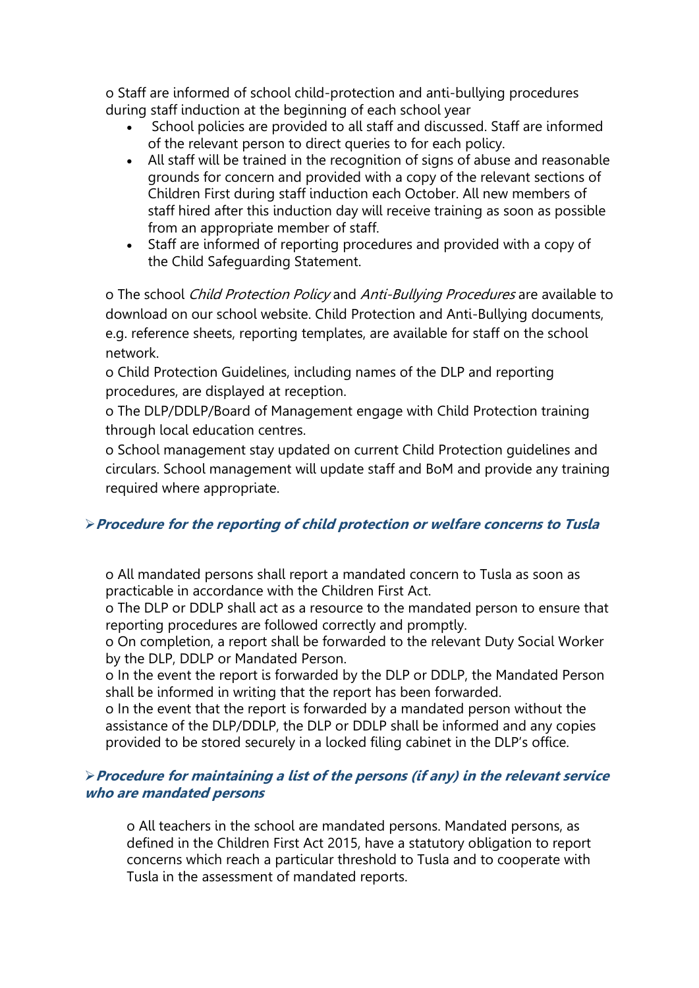o Staff are informed of school child-protection and anti-bullying procedures during staff induction at the beginning of each school year

- School policies are provided to all staff and discussed. Staff are informed of the relevant person to direct queries to for each policy.
- All staff will be trained in the recognition of signs of abuse and reasonable grounds for concern and provided with a copy of the relevant sections of Children First during staff induction each October. All new members of staff hired after this induction day will receive training as soon as possible from an appropriate member of staff.
- Staff are informed of reporting procedures and provided with a copy of the Child Safeguarding Statement.

o The school Child Protection Policy and Anti-Bullying Procedures are available to download on our school website. Child Protection and Anti-Bullying documents, e.g. reference sheets, reporting templates, are available for staff on the school network.

o Child Protection Guidelines, including names of the DLP and reporting procedures, are displayed at reception.

o The DLP/DDLP/Board of Management engage with Child Protection training through local education centres.

o School management stay updated on current Child Protection guidelines and circulars. School management will update staff and BoM and provide any training required where appropriate.

# **Procedure for the reporting of child protection or welfare concerns to Tusla**

o All mandated persons shall report a mandated concern to Tusla as soon as practicable in accordance with the Children First Act.

o The DLP or DDLP shall act as a resource to the mandated person to ensure that reporting procedures are followed correctly and promptly.

o On completion, a report shall be forwarded to the relevant Duty Social Worker by the DLP, DDLP or Mandated Person.

o In the event the report is forwarded by the DLP or DDLP, the Mandated Person shall be informed in writing that the report has been forwarded.

o In the event that the report is forwarded by a mandated person without the assistance of the DLP/DDLP, the DLP or DDLP shall be informed and any copies provided to be stored securely in a locked filing cabinet in the DLP's office.

# **Procedure for maintaining a list of the persons (if any) in the relevant service who are mandated persons**

o All teachers in the school are mandated persons. Mandated persons, as defined in the Children First Act 2015, have a statutory obligation to report concerns which reach a particular threshold to Tusla and to cooperate with Tusla in the assessment of mandated reports.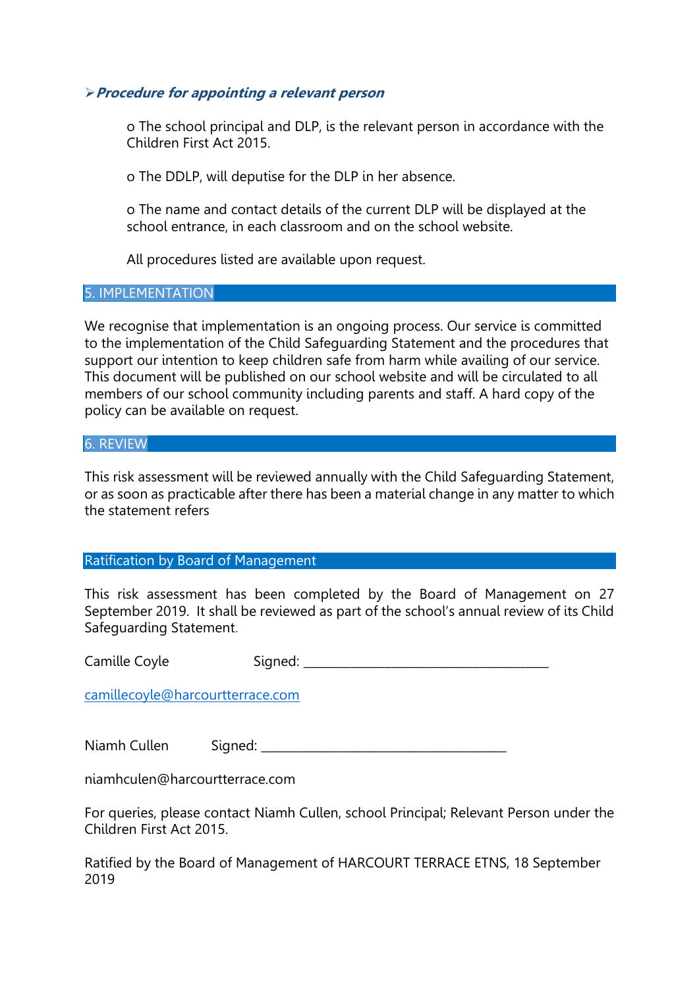### **Procedure for appointing a relevant person**

o The school principal and DLP, is the relevant person in accordance with the Children First Act 2015.

o The DDLP, will deputise for the DLP in her absence.

o The name and contact details of the current DLP will be displayed at the school entrance, in each classroom and on the school website.

All procedures listed are available upon request.

#### 5. IMPLEMENTATION

We recognise that implementation is an ongoing process. Our service is committed to the implementation of the Child Safeguarding Statement and the procedures that support our intention to keep children safe from harm while availing of our service. This document will be published on our school website and will be circulated to all members of our school community including parents and staff. A hard copy of the policy can be available on request.

### 6. REVIEW

This risk assessment will be reviewed annually with the Child Safeguarding Statement, or as soon as practicable after there has been a material change in any matter to which the statement refers

#### Ratification by Board of Management

This risk assessment has been completed by the Board of Management on 27 September 2019. It shall be reviewed as part of the school's annual review of its Child Safeguarding Statement.

Camille Coyle Signed: Camille Coyle

[camillecoyle@harcourtterrace.com](mailto:camillecoyle@harcourtterrace.com)

| Sianed: | Niamh Cullen |  |  |  |  |
|---------|--------------|--|--|--|--|
|---------|--------------|--|--|--|--|

niamhculen@harcourtterrace.com

For queries, please contact Niamh Cullen, school Principal; Relevant Person under the Children First Act 2015.

Ratified by the Board of Management of HARCOURT TERRACE ETNS, 18 September 2019